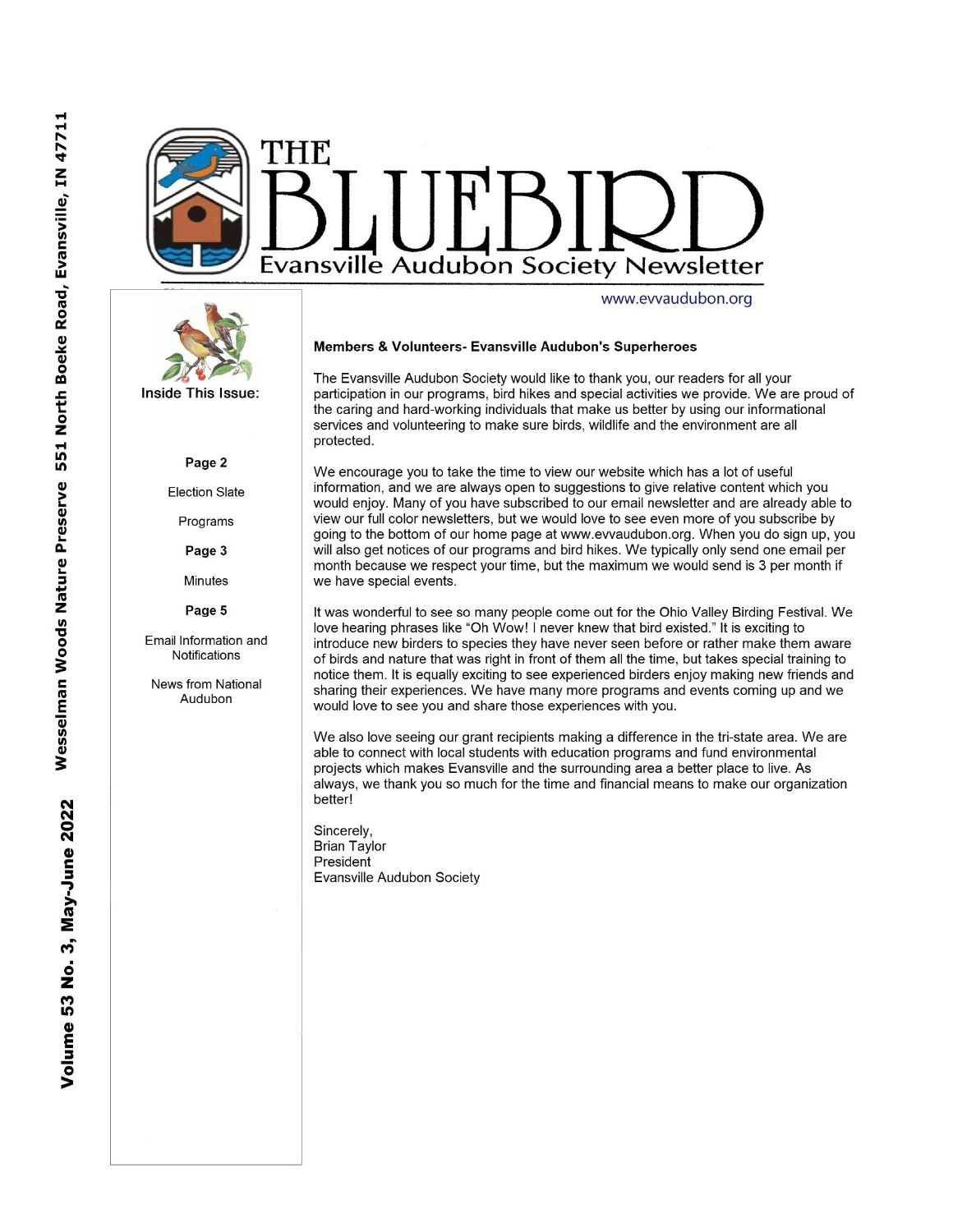



Inside This Issue:

#### Page 2

**Election Slate** 

Programs

Page 3

Minutes

Page 5

Email Information and **Notifications** 

News from National Audubon

#### Members & Volunteers- Evansville Audubon's Superheroes

The Evansville Audubon Society would like to thank you, our readers for all your participation in our programs, bird hikes and special activities we provide. We are proud of the caring and hard-working individuals that make us better by using our informational services and volunteering to make sure birds, wildlife and the environment are all protected.

We encourage you to take the time to view our website which has a lot of useful information, and we are always open to suggestions to give relative content which you would enjoy. Many of you have subscribed to our email newsletter and are already able to view our full color newsletters, but we would love to see even more of you subscribe by going to the bottom of our home page at www.evvaudubon.org. When you do sign up, you will also get notices of our programs and bird hikes. We typically only send one email per month because we respect your time, but the maximum we would send is 3 per month if we have special events.

It was wonderful to see so many people come out for the Ohio Valley Birding Festival. We love hearing phrases like "Oh Wow! I never knew that bird existed." It is exciting to introduce new birders to species they have never seen before or rather make them aware of birds and nature that was right in front of them all the time, but takes special training to notice them. It is equally exciting to see experienced birders enjoy making new friends and sharing their experiences. We have many more programs and events coming up and we would love to see you and share those experiences with you.

We also love seeing our grant recipients making a difference in the tri-state area. We are able to connect with local students with education programs and fund environmental projects which makes Evansville and the surrounding area a better place to live. As always, we thank you so much for the time and financial means to make our organization better!

Sincerely, **Brian Taylor** President **Evansville Audubon Society**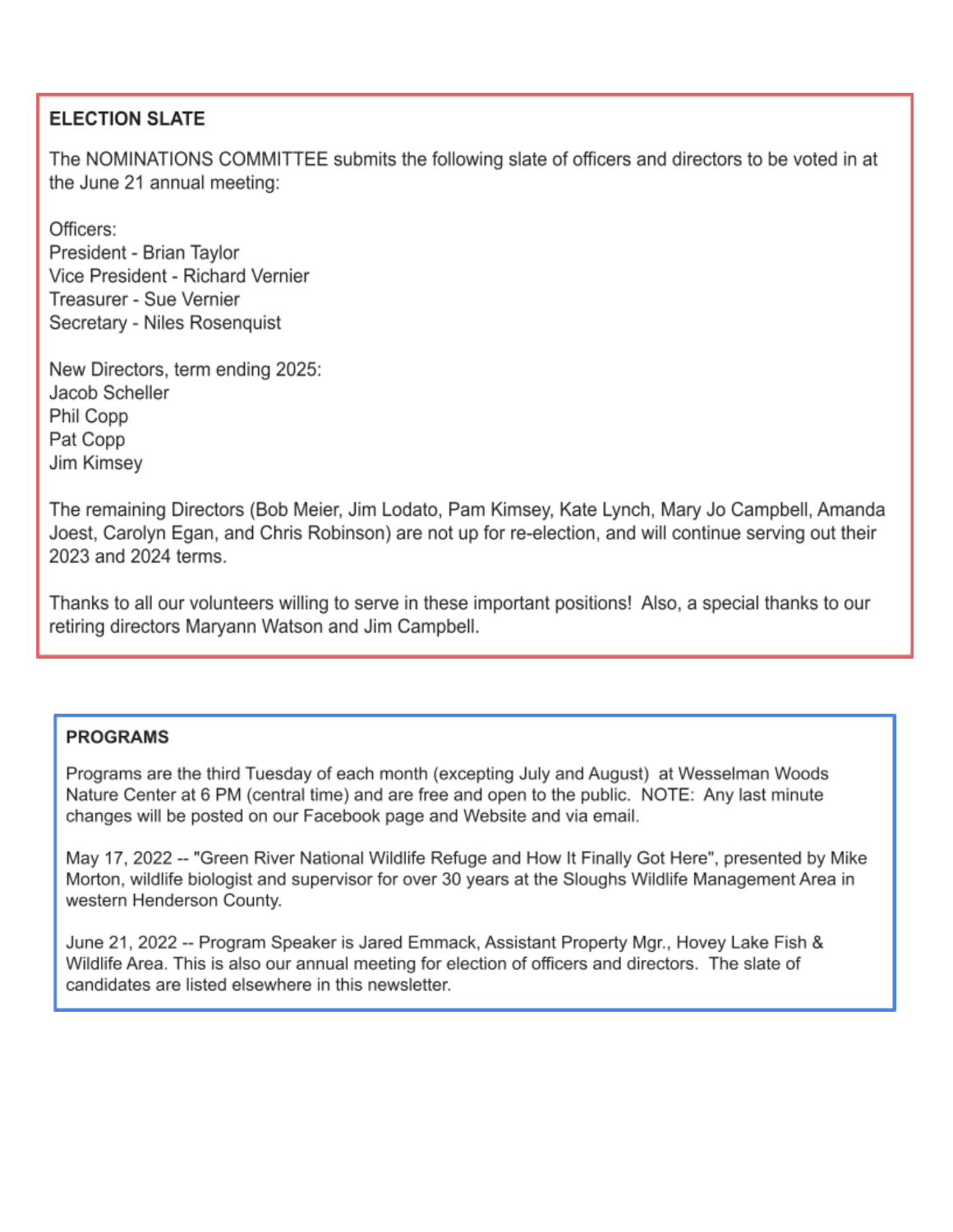## **ELECTION SLATE**

The NOMINATIONS COMMITTEE submits the following slate of officers and directors to be voted in at the June 21 annual meeting:

Officers: President - Brian Taylor Vice President - Richard Vernier Treasurer - Sue Vernier Secretary - Niles Rosenquist

New Directors, term ending 2025: Jacob Scheller Phil Copp Pat Copp Jim Kimsey

The remaining Directors (Bob Meier, Jim Lodato, Pam Kimsey, Kate Lynch, Mary Jo Campbell, Amanda Joest, Carolyn Egan, and Chris Robinson) are not up for re-election, and will continue serving out their 2023 and 2024 terms.

Thanks to all our volunteers willing to serve in these important positions! Also, a special thanks to our retiring directors Maryann Watson and Jim Campbell.

## **PROGRAMS**

Programs are the third Tuesday of each month (excepting July and August) at Wesselman Woods Nature Center at 6 PM (central time) and are free and open to the public. NOTE: Any last minute changes will be posted on our Facebook page and Website and via email.

May 17, 2022 -- "Green River National Wildlife Refuge and How It Finally Got Here", presented by Mike Morton, wildlife biologist and supervisor for over 30 years at the Sloughs Wildlife Management Area in western Henderson County.

June 21, 2022 -- Program Speaker is Jared Emmack, Assistant Property Mgr., Hovey Lake Fish & Wildlife Area. This is also our annual meeting for election of officers and directors. The slate of candidates are listed elsewhere in this newsletter.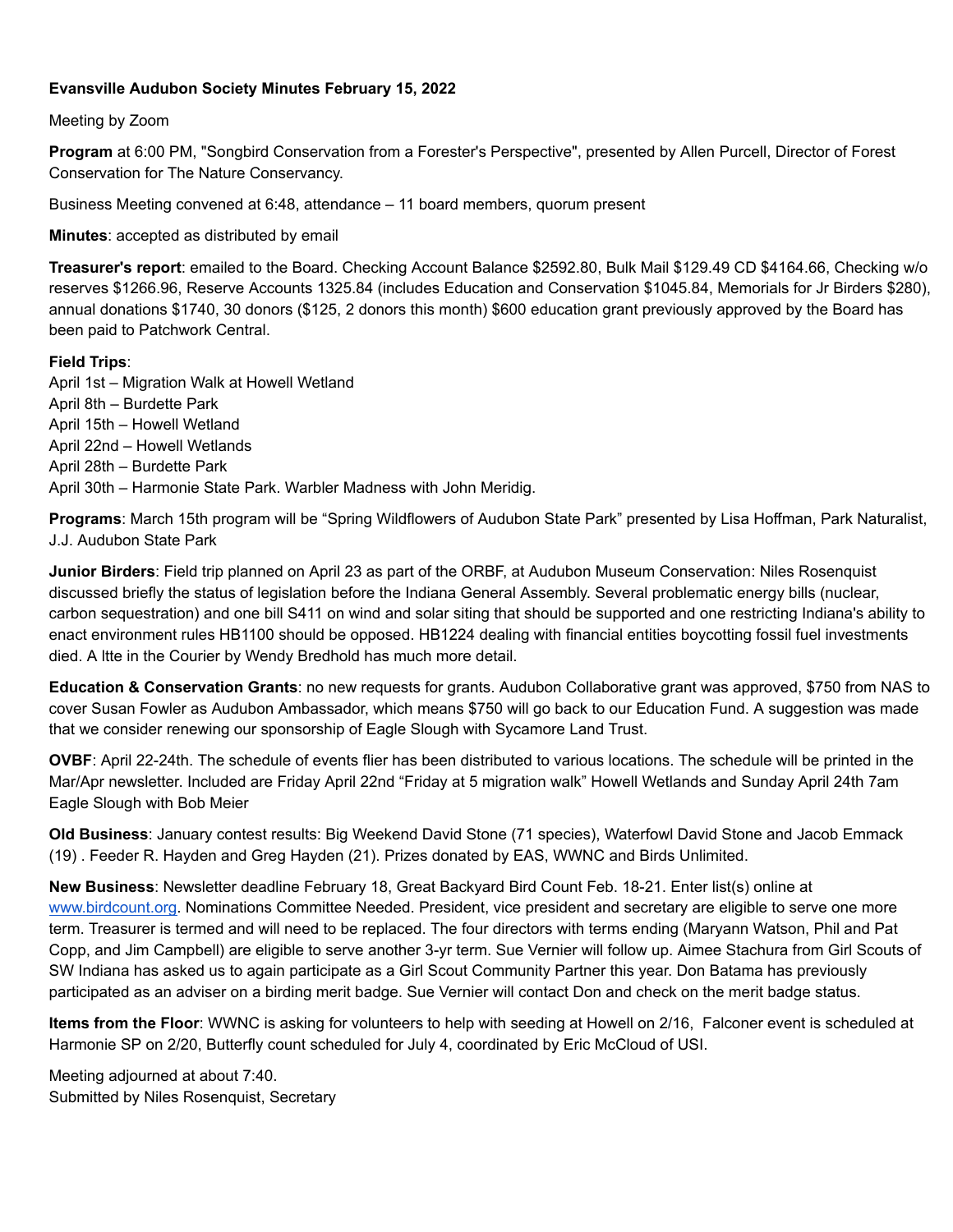### **Evansville Audubon Society Minutes February 15, 2022**

Meeting by Zoom

**Program** at 6:00 PM, "Songbird Conservation from a Forester's Perspective", presented by Allen Purcell, Director of Forest Conservation for The Nature Conservancy.

Business Meeting convened at 6:48, attendance – 11 board members, quorum present

**Minutes**: accepted as distributed by email

**Treasurer's report**: emailed to the Board. Checking Account Balance \$2592.80, Bulk Mail \$129.49 CD \$4164.66, Checking w/o reserves \$1266.96, Reserve Accounts 1325.84 (includes Education and Conservation \$1045.84, Memorials for Jr Birders \$280), annual donations \$1740, 30 donors (\$125, 2 donors this month) \$600 education grant previously approved by the Board has been paid to Patchwork Central.

#### **Field Trips**:

April 1st – Migration Walk at Howell Wetland April 8th – Burdette Park April 15th – Howell Wetland April 22nd – Howell Wetlands April 28th – Burdette Park April 30th – Harmonie State Park. Warbler Madness with John Meridig.

**Programs**: March 15th program will be "Spring Wildflowers of Audubon State Park" presented by Lisa Hoffman, Park Naturalist, J.J. Audubon State Park

**Junior Birders**: Field trip planned on April 23 as part of the ORBF, at Audubon Museum Conservation: Niles Rosenquist discussed briefly the status of legislation before the Indiana General Assembly. Several problematic energy bills (nuclear, carbon sequestration) and one bill S411 on wind and solar siting that should be supported and one restricting Indiana's ability to enact environment rules HB1100 should be opposed. HB1224 dealing with financial entities boycotting fossil fuel investments died. A ltte in the Courier by Wendy Bredhold has much more detail.

**Education & Conservation Grants**: no new requests for grants. Audubon Collaborative grant was approved, \$750 from NAS to cover Susan Fowler as Audubon Ambassador, which means \$750 will go back to our Education Fund. A suggestion was made that we consider renewing our sponsorship of Eagle Slough with Sycamore Land Trust.

**OVBF**: April 22-24th. The schedule of events flier has been distributed to various locations. The schedule will be printed in the Mar/Apr newsletter. Included are Friday April 22nd "Friday at 5 migration walk" Howell Wetlands and Sunday April 24th 7am Eagle Slough with Bob Meier

**Old Business**: January contest results: Big Weekend David Stone (71 species), Waterfowl David Stone and Jacob Emmack (19) . Feeder R. Hayden and Greg Hayden (21). Prizes donated by EAS, WWNC and Birds Unlimited.

**New Business**: Newsletter deadline February 18, Great Backyard Bird Count Feb. 18-21. Enter list(s) online at [www.birdcount.org.](http://www.birdcount.org/) Nominations Committee Needed. President, vice president and secretary are eligible to serve one more term. Treasurer is termed and will need to be replaced. The four directors with terms ending (Maryann Watson, Phil and Pat Copp, and Jim Campbell) are eligible to serve another 3-yr term. Sue Vernier will follow up. Aimee Stachura from Girl Scouts of SW Indiana has asked us to again participate as a Girl Scout Community Partner this year. Don Batama has previously participated as an adviser on a birding merit badge. Sue Vernier will contact Don and check on the merit badge status.

**Items from the Floor**: WWNC is asking for volunteers to help with seeding at Howell on 2/16, Falconer event is scheduled at Harmonie SP on 2/20, Butterfly count scheduled for July 4, coordinated by Eric McCloud of USI.

Meeting adjourned at about 7:40. Submitted by Niles Rosenquist, Secretary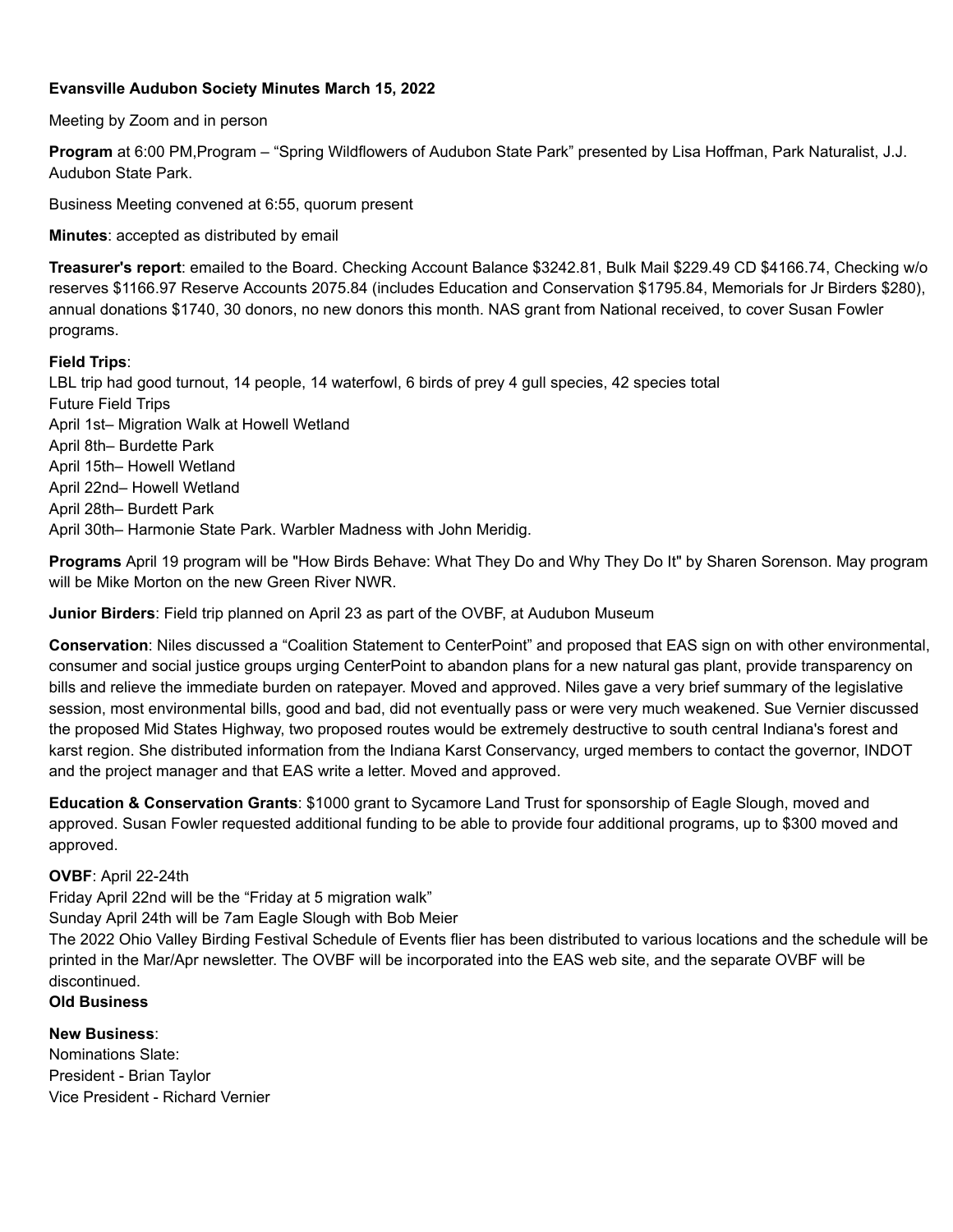### **Evansville Audubon Society Minutes March 15, 2022**

Meeting by Zoom and in person

**Program** at 6:00 PM,Program – "Spring Wildflowers of Audubon State Park" presented by Lisa Hoffman, Park Naturalist, J.J. Audubon State Park.

Business Meeting convened at 6:55, quorum present

**Minutes**: accepted as distributed by email

**Treasurer's report**: emailed to the Board. Checking Account Balance \$3242.81, Bulk Mail \$229.49 CD \$4166.74, Checking w/o reserves \$1166.97 Reserve Accounts 2075.84 (includes Education and Conservation \$1795.84, Memorials for Jr Birders \$280), annual donations \$1740, 30 donors, no new donors this month. NAS grant from National received, to cover Susan Fowler programs.

#### **Field Trips**:

LBL trip had good turnout, 14 people, 14 waterfowl, 6 birds of prey 4 gull species, 42 species total Future Field Trips April 1st– Migration Walk at Howell Wetland April 8th– Burdette Park April 15th– Howell Wetland April 22nd– Howell Wetland April 28th– Burdett Park April 30th– Harmonie State Park. Warbler Madness with John Meridig.

**Programs** April 19 program will be "How Birds Behave: What They Do and Why They Do It" by Sharen Sorenson. May program will be Mike Morton on the new Green River NWR.

**Junior Birders**: Field trip planned on April 23 as part of the OVBF, at Audubon Museum

**Conservation**: Niles discussed a "Coalition Statement to CenterPoint" and proposed that EAS sign on with other environmental, consumer and social justice groups urging CenterPoint to abandon plans for a new natural gas plant, provide transparency on bills and relieve the immediate burden on ratepayer. Moved and approved. Niles gave a very brief summary of the legislative session, most environmental bills, good and bad, did not eventually pass or were very much weakened. Sue Vernier discussed the proposed Mid States Highway, two proposed routes would be extremely destructive to south central Indiana's forest and karst region. She distributed information from the Indiana Karst Conservancy, urged members to contact the governor, INDOT and the project manager and that EAS write a letter. Moved and approved.

**Education & Conservation Grants**: \$1000 grant to Sycamore Land Trust for sponsorship of Eagle Slough, moved and approved. Susan Fowler requested additional funding to be able to provide four additional programs, up to \$300 moved and approved.

### **OVBF**: April 22-24th

Friday April 22nd will be the "Friday at 5 migration walk"

Sunday April 24th will be 7am Eagle Slough with Bob Meier

The 2022 Ohio Valley Birding Festival Schedule of Events flier has been distributed to various locations and the schedule will be printed in the Mar/Apr newsletter. The OVBF will be incorporated into the EAS web site, and the separate OVBF will be discontinued.

## **Old Business**

**New Business**:

Nominations Slate: President - Brian Taylor Vice President - Richard Vernier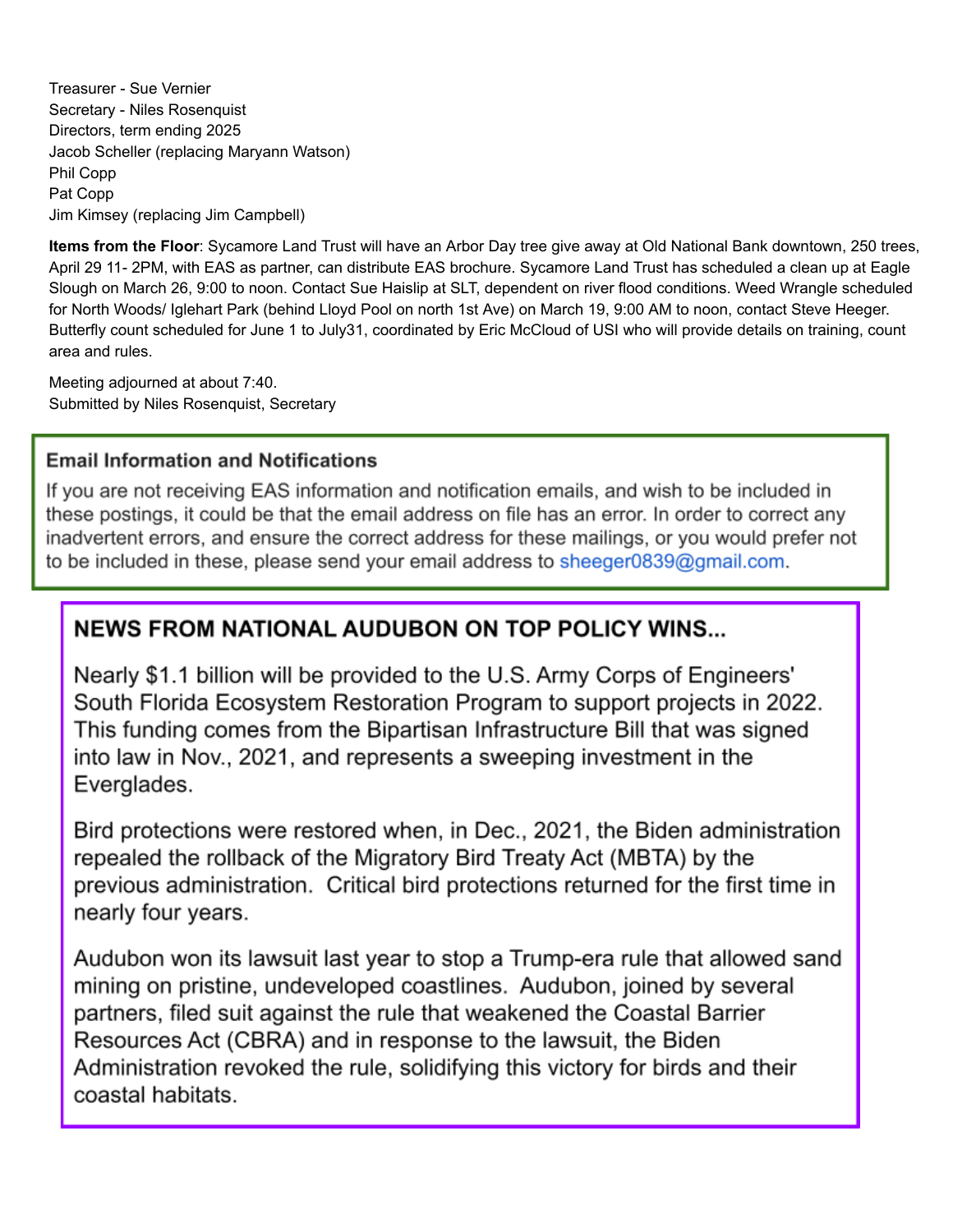Treasurer - Sue Vernier Secretary - Niles Rosenquist Directors, term ending 2025 Jacob Scheller (replacing Maryann Watson) Phil Copp Pat Copp Jim Kimsey (replacing Jim Campbell)

**Items from the Floor**: Sycamore Land Trust will have an Arbor Day tree give away at Old National Bank downtown, 250 trees, April 29 11- 2PM, with EAS as partner, can distribute EAS brochure. Sycamore Land Trust has scheduled a clean up at Eagle Slough on March 26, 9:00 to noon. Contact Sue Haislip at SLT, dependent on river flood conditions. Weed Wrangle scheduled for North Woods/ Iglehart Park (behind Lloyd Pool on north 1st Ave) on March 19, 9:00 AM to noon, contact Steve Heeger. Butterfly count scheduled for June 1 to July31, coordinated by Eric McCloud of USI who will provide details on training, count area and rules.

Meeting adjourned at about 7:40. Submitted by Niles Rosenquist, Secretary

## **Email Information and Notifications**

If you are not receiving EAS information and notification emails, and wish to be included in these postings, it could be that the email address on file has an error. In order to correct any inadvertent errors, and ensure the correct address for these mailings, or you would prefer not to be included in these, please send your email address to sheeger0839@gmail.com.

# **NEWS FROM NATIONAL AUDUBON ON TOP POLICY WINS...**

Nearly \$1.1 billion will be provided to the U.S. Army Corps of Engineers' South Florida Ecosystem Restoration Program to support projects in 2022. This funding comes from the Bipartisan Infrastructure Bill that was signed into law in Nov., 2021, and represents a sweeping investment in the Everglades.

Bird protections were restored when, in Dec., 2021, the Biden administration repealed the rollback of the Migratory Bird Treaty Act (MBTA) by the previous administration. Critical bird protections returned for the first time in nearly four years.

Audubon won its lawsuit last year to stop a Trump-era rule that allowed sand mining on pristine, undeveloped coastlines. Audubon, joined by several partners, filed suit against the rule that weakened the Coastal Barrier Resources Act (CBRA) and in response to the lawsuit, the Biden Administration revoked the rule, solidifying this victory for birds and their coastal habitats.